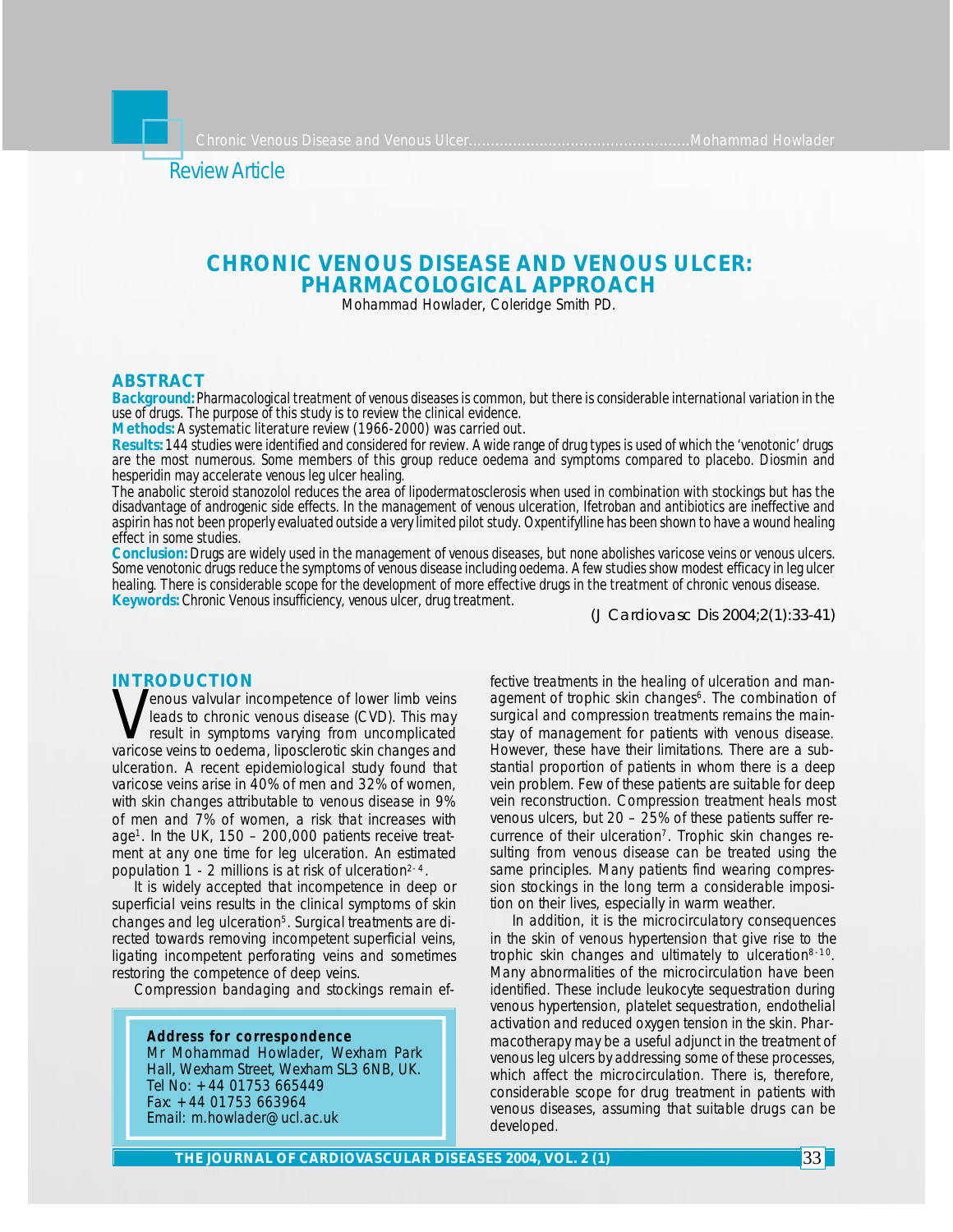

# **CHRONIC VENOUS DISEASE AND VENOUS ULCER: PHARMACOLOGICAL APPROACH**

Mohammad Howlader, Coleridge Smith PD.

## **ABSTRACT**

*Background: Pharmacological treatment of venous diseases is common, but there is considerable international variation in the use of drugs. The purpose of this study is to review the clinical evidence.*

*Methods: A systematic literature review (1966-2000) was carried out.*

*Results: 144 studies were identified and considered for review. A wide range of drug types is used of which the 'venotonic' drugs are the most numerous. Some members of this group reduce oedema and symptoms compared to placebo. Diosmin and hesperidin may accelerate venous leg ulcer healing.*

*The anabolic steroid stanozolol reduces the area of lipodermatosclerosis when used in combination with stockings but has the disadvantage of androgenic side effects. In the management of venous ulceration, Ifetroban and antibiotics are ineffective and aspirin has not been properly evaluated outside a very limited pilot study. Oxpentifylline has been shown to have a wound healing effect in some studies.*

*Conclusion: Drugs are widely used in the management of venous diseases, but none abolishes varicose veins or venous ulcers. Some venotonic drugs reduce the symptoms of venous disease including oedema. A few studies show modest efficacy in leg ulcer healing. There is considerable scope for the development of more effective drugs in the treatment of chronic venous disease. Keywords: Chronic Venous insufficiency, venous ulcer, drug treatment.*

*(J Cardiovasc Dis 2004;2(1):33-41)*

# **INTRODUCTION**

**V**enous valvular incompetence of lower limb veins<br>leads to chronic venous disease (CVD). This may<br>result in symptoms varying from uncomplicated<br>varicose veins to oedema, liposclerotic skin changes and enous valvular incompetence of lower limb veins leads to chronic venous disease (CVD). This may result in symptoms varying from uncomplicated ulceration. A recent epidemiological study found that varicose veins arise in 40% of men and 32% of women, with skin changes attributable to venous disease in 9% of men and 7% of women, a risk that increases with age<sup>1</sup> . In the UK, 150 – 200,000 patients receive treatment at any one time for leg ulceration. An estimated population  $1 - 2$  millions is at risk of ulceration<sup>2-4</sup>.

It is widely accepted that incompetence in deep or superficial veins results in the clinical symptoms of skin changes and leg ulceration<sup>5</sup>. Surgical treatments are directed towards removing incompetent superficial veins, ligating incompetent perforating veins and sometimes restoring the competence of deep veins.

Compression bandaging and stockings remain ef-

**Address for correspondence** Mr Mohammad Howlader, Wexham Park Hall, Wexham Street, Wexham SL3 6NB, UK. Tel No: +44 01753 665449 Fax: +44 01753 663964 Email: m.howlader@ucl.ac.uk

fective treatments in the healing of ulceration and management of trophic skin changes<sup>6</sup>. The combination of surgical and compression treatments remains the mainstay of management for patients with venous disease. However, these have their limitations. There are a substantial proportion of patients in whom there is a deep vein problem. Few of these patients are suitable for deep vein reconstruction. Compression treatment heals most venous ulcers, but 20 – 25% of these patients suffer recurrence of their ulceration<sup>7</sup>. Trophic skin changes resulting from venous disease can be treated using the same principles. Many patients find wearing compression stockings in the long term a considerable imposition on their lives, especially in warm weather.

In addition, it is the microcirculatory consequences in the skin of venous hypertension that give rise to the trophic skin changes and ultimately to ulceration<sup>8-10</sup>. Many abnormalities of the microcirculation have been identified. These include leukocyte sequestration during venous hypertension, platelet sequestration, endothelial activation and reduced oxygen tension in the skin. Pharmacotherapy may be a useful adjunct in the treatment of venous leg ulcers by addressing some of these processes, which affect the microcirculation. There is, therefore, considerable scope for drug treatment in patients with venous diseases, assuming that suitable drugs can be developed.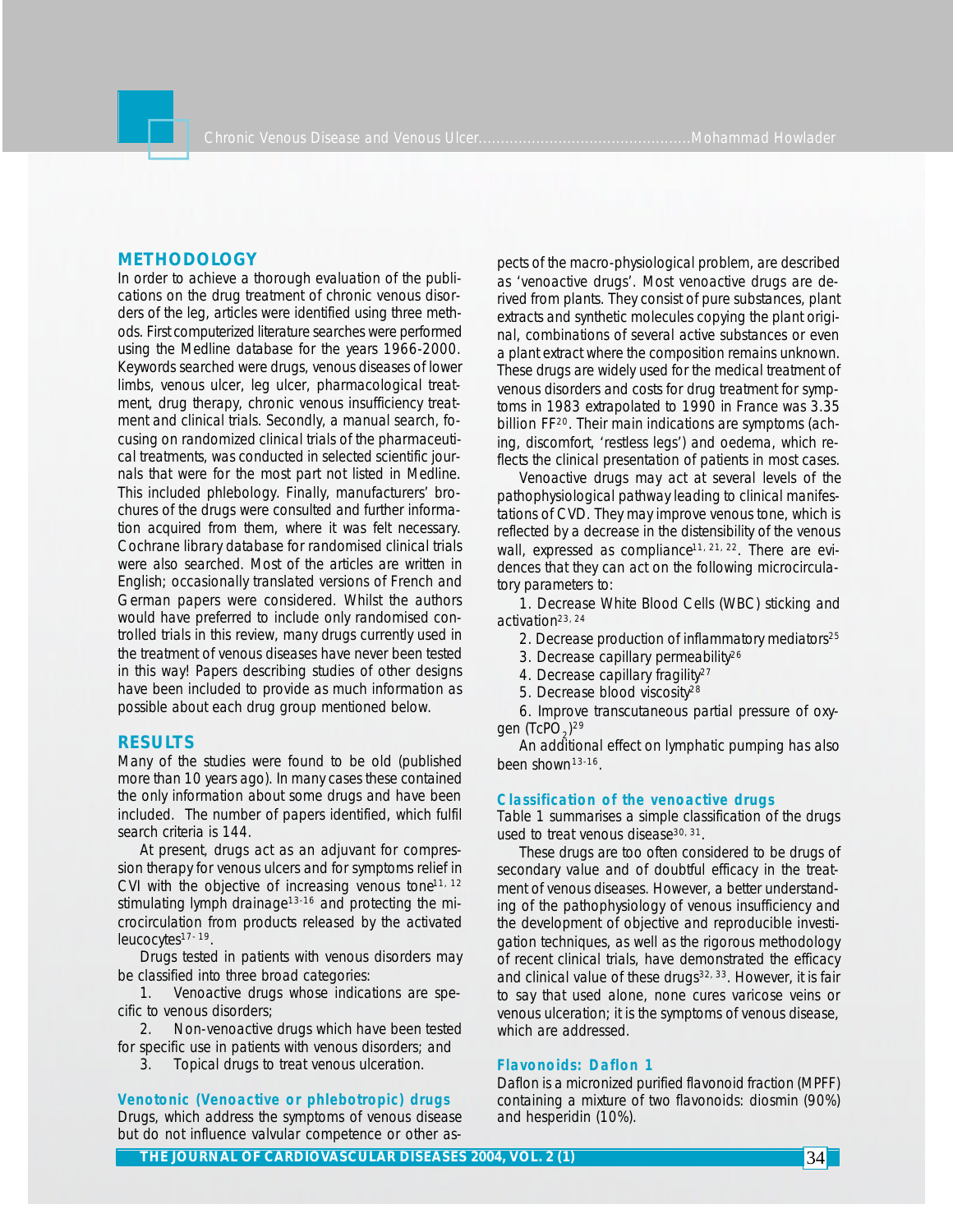# **METHODOLOGY**

In order to achieve a thorough evaluation of the publications on the drug treatment of chronic venous disorders of the leg, articles were identified using three methods. First computerized literature searches were performed using the Medline database for the years 1966-2000. Keywords searched were drugs, venous diseases of lower limbs, venous ulcer, leg ulcer, pharmacological treatment, drug therapy, chronic venous insufficiency treatment and clinical trials. Secondly, a manual search, focusing on randomized clinical trials of the pharmaceutical treatments, was conducted in selected scientific journals that were for the most part not listed in Medline. This included phlebology. Finally, manufacturers' brochures of the drugs were consulted and further information acquired from them, where it was felt necessary. Cochrane library database for randomised clinical trials were also searched. Most of the articles are written in English; occasionally translated versions of French and German papers were considered. Whilst the authors would have preferred to include only randomised controlled trials in this review, many drugs currently used in the treatment of venous diseases have never been tested in this way! Papers describing studies of other designs have been included to provide as much information as possible about each drug group mentioned below.

## **RESULTS**

Many of the studies were found to be old (published more than 10 years ago). In many cases these contained the only information about some drugs and have been included. The number of papers identified, which fulfil search criteria is 144.

At present, drugs act as an adjuvant for compression therapy for venous ulcers and for symptoms relief in CVI with the objective of increasing venous tone<sup>11, 12</sup> stimulating lymph drainage<sup>13-16</sup> and protecting the microcirculation from products released by the activated leucocytes<sup>17-19</sup>.

Drugs tested in patients with venous disorders may be classified into three broad categories:

1. Venoactive drugs whose indications are specific to venous disorders;

2. Non-venoactive drugs which have been tested for specific use in patients with venous disorders; and

3. Topical drugs to treat venous ulceration.

## **Venotonic (Venoactive or phlebotropic) drugs**

Drugs, which address the symptoms of venous disease but do not influence valvular competence or other as-

pects of the macro-physiological problem, are described as 'venoactive drugs'. Most venoactive drugs are derived from plants. They consist of pure substances, plant extracts and synthetic molecules copying the plant original, combinations of several active substances or even a plant extract where the composition remains unknown. These drugs are widely used for the medical treatment of venous disorders and costs for drug treatment for symptoms in 1983 extrapolated to 1990 in France was 3.35 billion FF20. Their main indications are symptoms (aching, discomfort, 'restless legs') and oedema, which reflects the clinical presentation of patients in most cases.

Venoactive drugs may act at several levels of the pathophysiological pathway leading to clinical manifestations of CVD. They may improve venous tone, which is reflected by a decrease in the distensibility of the venous wall, expressed as compliance<sup>11, 21, 22</sup>. There are evidences that they can act on the following microcirculatory parameters to:

1. Decrease White Blood Cells (WBC) sticking and activation23, 24

2. Decrease production of inflammatory mediators<sup>25</sup>

3. Decrease capillary permeability<sup>26</sup>

- 4. Decrease capillary fragility<sup>27</sup>
- 5. Decrease blood viscosity<sup>28</sup>

6. Improve transcutaneous partial pressure of oxygen (TcPO $_2^{}$ ) $^{29}$ 

An additional effect on lymphatic pumping has also been shown<sup>13-16</sup>.

#### **Classification of the venoactive drugs**

Table 1 summarises a simple classification of the drugs used to treat venous disease<sup>30, 31</sup>.

These drugs are too often considered to be drugs of secondary value and of doubtful efficacy in the treatment of venous diseases. However, a better understanding of the pathophysiology of venous insufficiency and the development of objective and reproducible investigation techniques, as well as the rigorous methodology of recent clinical trials, have demonstrated the efficacy and clinical value of these drugs<sup>32, 33</sup>. However, it is fair to say that used alone, none cures varicose veins or venous ulceration; it is the symptoms of venous disease, which are addressed.

## **Flavonoids: Daflon 1**

Daflon is a micronized purified flavonoid fraction (MPFF) containing a mixture of two flavonoids: diosmin (90%) and hesperidin (10%).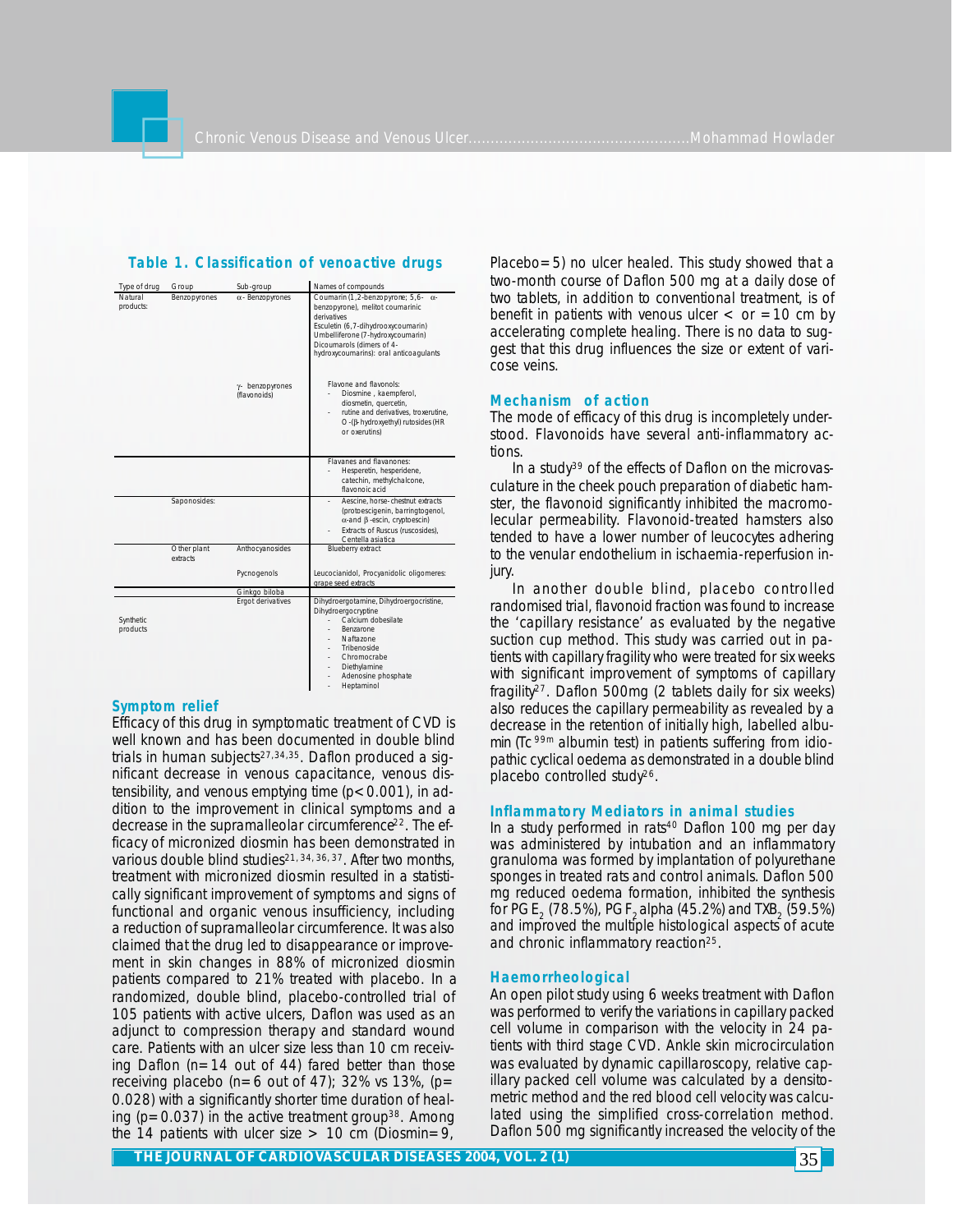# **Table 1. Classification of venoactive drugs**

| Type of drug         | Group                   | Sub-group                       | Names of compounds                                                                                                                                                                                                                               |
|----------------------|-------------------------|---------------------------------|--------------------------------------------------------------------------------------------------------------------------------------------------------------------------------------------------------------------------------------------------|
| Natural<br>products: | Benzopyrones            | $\alpha$ - Benzopyrones         | Coumarin (1,2-benzopyrone; $5,6 - \alpha$ -<br>benzopyrone), melitot coumarinic<br>derivatives<br>Esculetin (6,7-dihydrooxycoumarin)<br>Umbelliferone (7-hydroxycoumarin)<br>Dicoumarols (dimers of 4-<br>hydroxycoumarins): oral anticoagulants |
|                      |                         | y- benzopyrones<br>(flavonoids) | Flavone and flavonols:<br>Diosmine, kaempferol,<br>diosmetin, quercetin,<br>rutine and derivatives, troxerutine,<br>Ο-(β-hydroxyethyl) rutosides (HR<br>or oxerutins)                                                                            |
|                      |                         |                                 | Flavanes and flavanones:<br>Hesperetin, hesperidene,<br>catechin, methylchalcone,<br>flavonoic acid                                                                                                                                              |
|                      | Saponosides:            |                                 | Aescine, horse-chestnut extracts<br>(protoescigenin, barringtogenol,<br>$\alpha$ -and $\beta$ -escin, cryptoescin)<br>Extracts of Ruscus (ruscosides),<br>Centella asiatica                                                                      |
|                      | Other plant<br>extracts | Anthocyanosides                 | <b>Blueberry</b> extract                                                                                                                                                                                                                         |
|                      |                         | Pycnogenols                     | Leucocianidol, Procyanidolic oligomeres:<br>grape seed extracts                                                                                                                                                                                  |
|                      |                         | Ginkgo biloba                   |                                                                                                                                                                                                                                                  |
|                      |                         | Ergot derivatives               | Dihydroergotamine, Dihydroergocristine,<br>Dihydroergocryptine                                                                                                                                                                                   |
| Synthetic            |                         |                                 | Calcium dobesilate                                                                                                                                                                                                                               |
| products             |                         |                                 | <b>Benzarone</b>                                                                                                                                                                                                                                 |
|                      |                         |                                 | Naftazone                                                                                                                                                                                                                                        |
|                      |                         |                                 | Tribenoside                                                                                                                                                                                                                                      |
|                      |                         |                                 | Chromocrabe                                                                                                                                                                                                                                      |
|                      |                         |                                 | Diethylamine                                                                                                                                                                                                                                     |
|                      |                         |                                 | Adenosine phosphate                                                                                                                                                                                                                              |
|                      |                         |                                 | Heptaminol                                                                                                                                                                                                                                       |

## **Symptom relief**

Efficacy of this drug in symptomatic treatment of CVD is well known and has been documented in double blind trials in human subjects $27,34,35$ . Daflon produced a significant decrease in venous capacitance, venous distensibility, and venous emptying time  $(p < 0.001)$ , in addition to the improvement in clinical symptoms and a decrease in the supramalleolar circumference<sup>22</sup>. The efficacy of micronized diosmin has been demonstrated in various double blind studies $21, 34, 36, 37$ . After two months, treatment with micronized diosmin resulted in a statistically significant improvement of symptoms and signs of functional and organic venous insufficiency, including a reduction of supramalleolar circumference. It was also claimed that the drug led to disappearance or improvement in skin changes in 88% of micronized diosmin patients compared to 21% treated with placebo. In a randomized, double blind, placebo-controlled trial of 105 patients with active ulcers, Daflon was used as an adjunct to compression therapy and standard wound care. Patients with an ulcer size less than 10 cm receiving Daflon ( $n=14$  out of 44) fared better than those receiving placebo ( $n=6$  out of 47); 32% vs 13%, ( $p=$ 0.028) with a significantly shorter time duration of healing ( $p=0.037$ ) in the active treatment group<sup>38</sup>. Among the 14 patients with ulcer size  $> 10$  cm (Diosmin=9,

Placebo=5) no ulcer healed. This study showed that a two-month course of Daflon 500 mg at a daily dose of two tablets, in addition to conventional treatment, is of benefit in patients with venous ulcer  $\langle$  or =10 cm by accelerating complete healing. There is no data to suggest that this drug influences the size or extent of varicose veins.

## **Mechanism of action**

The mode of efficacy of this drug is incompletely understood. Flavonoids have several anti-inflammatory actions.

In a study39 of the effects of Daflon on the microvasculature in the cheek pouch preparation of diabetic hamster, the flavonoid significantly inhibited the macromolecular permeability. Flavonoid-treated hamsters also tended to have a lower number of leucocytes adhering to the venular endothelium in ischaemia-reperfusion injury.

In another double blind, placebo controlled randomised trial, flavonoid fraction was found to increase the 'capillary resistance' as evaluated by the negative suction cup method. This study was carried out in patients with capillary fragility who were treated for six weeks with significant improvement of symptoms of capillary fragility27. Daflon 500mg (2 tablets daily for six weeks) also reduces the capillary permeability as revealed by a decrease in the retention of initially high, labelled albumin (Tc<sup>99m</sup> albumin test) in patients suffering from idiopathic cyclical oedema as demonstrated in a double blind placebo controlled study<sup>26</sup>.

# **Inflammatory Mediators in animal studies**

In a study performed in rats<sup>40</sup> Daflon 100 mg per day was administered by intubation and an inflammatory granuloma was formed by implantation of polyurethane sponges in treated rats and control animals. Daflon 500 mg reduced oedema formation, inhibited the synthesis for PGE $_{\rm 2}$  (78.5%), PGF $_{\rm 2}$ alpha (45.2%) and TXB $_{\rm 2}$  (59.5%) and improved the multiple histological aspects of acute and chronic inflammatory reaction<sup>25</sup>.

### **Haemorrheological**

An open pilot study using 6 weeks treatment with Daflon was performed to verify the variations in capillary packed cell volume in comparison with the velocity in 24 patients with third stage CVD. Ankle skin microcirculation was evaluated by dynamic capillaroscopy, relative capillary packed cell volume was calculated by a densitometric method and the red blood cell velocity was calculated using the simplified cross-correlation method. Daflon 500 mg significantly increased the velocity of the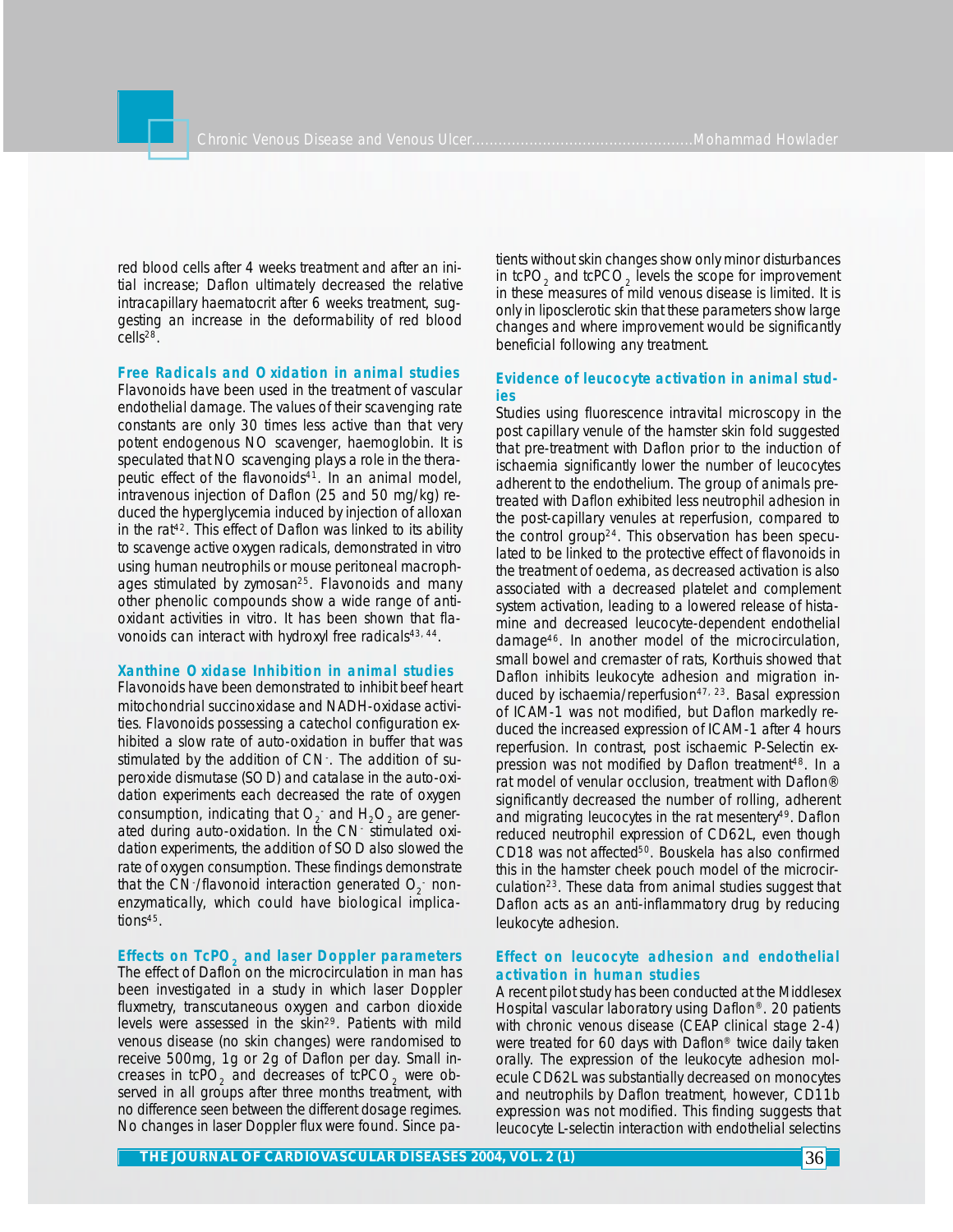red blood cells after 4 weeks treatment and after an initial increase; Daflon ultimately decreased the relative intracapillary haematocrit after 6 weeks treatment, suggesting an increase in the deformability of red blood  $c$ ells $^{28}$ .

**Free Radicals and Oxidation in animal studies**

Flavonoids have been used in the treatment of vascular endothelial damage. The values of their scavenging rate constants are only 30 times less active than that very potent endogenous NO scavenger, haemoglobin. It is speculated that NO scavenging plays a role in the therapeutic effect of the flavonoids<sup>41</sup>. In an animal model, intravenous injection of Daflon (25 and 50 mg/kg) reduced the hyperglycemia induced by injection of alloxan in the rat<sup>42</sup>. This effect of Daflon was linked to its ability to scavenge active oxygen radicals, demonstrated in vitro using human neutrophils or mouse peritoneal macrophages stimulated by zymosan<sup>25</sup>. Flavonoids and many other phenolic compounds show a wide range of antioxidant activities in vitro. It has been shown that flavonoids can interact with hydroxyl free radicals<sup>43, 44</sup>.

# **Xanthine Oxidase Inhibition in animal studies**

Flavonoids have been demonstrated to inhibit beef heart mitochondrial succinoxidase and NADH-oxidase activities. Flavonoids possessing a catechol configuration exhibited a slow rate of auto-oxidation in buffer that was stimulated by the addition of CN- . The addition of superoxide dismutase (SOD) and catalase in the auto-oxidation experiments each decreased the rate of oxygen consumption, indicating that  $\mathrm{O}_2^+$  and  $\mathrm{H}_2\mathrm{O}_2^+$  are generated during auto-oxidation. In the CN- stimulated oxidation experiments, the addition of SOD also slowed the rate of oxygen consumption. These findings demonstrate that the CN /flavonoid interaction generated  $O_2^-$  nonenzymatically, which could have biological implications<sup>45</sup> .

**Effects on TcPO<sup>2</sup> and laser Doppler parameters**

The effect of Daflon on the microcirculation in man has been investigated in a study in which laser Doppler fluxmetry, transcutaneous oxygen and carbon dioxide levels were assessed in the skin<sup>29</sup>. Patients with mild venous disease (no skin changes) were randomised to receive 500mg, 1g or 2g of Daflon per day. Small increases in tcPO<sub>2</sub> and decreases of tcPCO<sub>2</sub> were observed in all groups after three months treatment, with no difference seen between the different dosage regimes. No changes in laser Doppler flux were found. Since patients without skin changes show only minor disturbances in tcPO<sub>2</sub> and tcPCO<sub>2</sub> levels the scope for improvement in these measures of mild venous disease is limited. It is only in liposclerotic skin that these parameters show large changes and where improvement would be significantly beneficial following any treatment.

# **Evidence of leucocyte activation in animal studies**

Studies using fluorescence intravital microscopy in the post capillary venule of the hamster skin fold suggested that pre-treatment with Daflon prior to the induction of ischaemia significantly lower the number of leucocytes adherent to the endothelium. The group of animals pretreated with Daflon exhibited less neutrophil adhesion in the post-capillary venules at reperfusion, compared to the control group<sup>24</sup>. This observation has been speculated to be linked to the protective effect of flavonoids in the treatment of oedema, as decreased activation is also associated with a decreased platelet and complement system activation, leading to a lowered release of histamine and decreased leucocyte-dependent endothelial damage46. In another model of the microcirculation, small bowel and cremaster of rats, Korthuis showed that Daflon inhibits leukocyte adhesion and migration induced by ischaemia/reperfusion<sup>47, 23</sup>. Basal expression of ICAM-1 was not modified, but Daflon markedly reduced the increased expression of ICAM-1 after 4 hours reperfusion. In contrast, post ischaemic P-Selectin expression was not modified by Daflon treatment<sup>48</sup>. In a rat model of venular occlusion, treatment with Daflon® significantly decreased the number of rolling, adherent and migrating leucocytes in the rat mesentery<sup>49</sup>. Daflon reduced neutrophil expression of CD62L, even though CD18 was not affected<sup>50</sup>. Bouskela has also confirmed this in the hamster cheek pouch model of the microcirculation23. These data from animal studies suggest that Daflon acts as an anti-inflammatory drug by reducing leukocyte adhesion.

# **Effect on leucocyte adhesion and endothelial activation in human studies**

A recent pilot study has been conducted at the Middlesex Hospital vascular laboratory using Daflon®. 20 patients with chronic venous disease (CEAP clinical stage 2-4) were treated for 60 days with Daflon® twice daily taken orally. The expression of the leukocyte adhesion molecule CD62L was substantially decreased on monocytes and neutrophils by Daflon treatment, however, CD11b expression was not modified. This finding suggests that leucocyte L-selectin interaction with endothelial selectins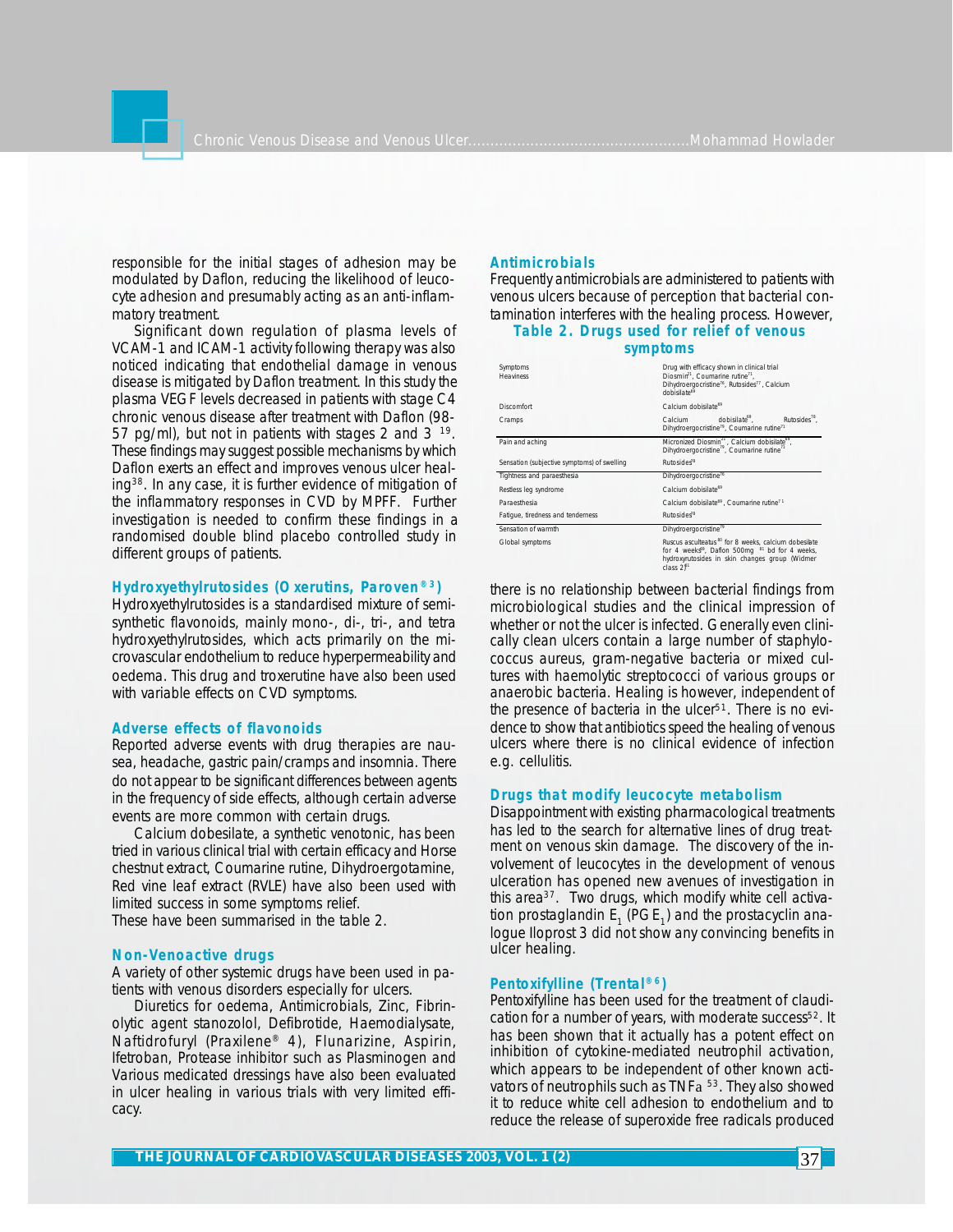

responsible for the initial stages of adhesion may be modulated by Daflon, reducing the likelihood of leucocyte adhesion and presumably acting as an anti-inflammatory treatment.

Significant down regulation of plasma levels of VCAM-1 and ICAM-1 activity following therapy was also noticed indicating that endothelial damage in venous disease is mitigated by Daflon treatment. In this study the plasma VEGF levels decreased in patients with stage C4 chronic venous disease after treatment with Daflon (98- 57 pg/ml), but not in patients with stages 2 and 3<sup>19</sup>. These findings may suggest possible mechanisms by which Daflon exerts an effect and improves venous ulcer healing38. In any case, it is further evidence of mitigation of the inflammatory responses in CVD by MPFF. Further investigation is needed to confirm these findings in a randomised double blind placebo controlled study in different groups of patients.

## **Hydroxyethylrutosides (Oxerutins, Paroven ® 3 )**

Hydroxyethylrutosides is a standardised mixture of semisynthetic flavonoids, mainly mono-, di-, tri-, and tetra hydroxyethylrutosides, which acts primarily on the microvascular endothelium to reduce hyperpermeability and oedema. This drug and troxerutine have also been used with variable effects on CVD symptoms.

## **Adverse effects of flavonoids**

Reported adverse events with drug therapies are nausea, headache, gastric pain/cramps and insomnia. There do not appear to be significant differences between agents in the frequency of side effects, although certain adverse events are more common with certain drugs.

Calcium dobesilate, a synthetic venotonic, has been tried in various clinical trial with certain efficacy and Horse chestnut extract, Coumarine rutine, Dihydroergotamine, Red vine leaf extract (RVLE) have also been used with limited success in some symptoms relief. These have been summarised in the table 2.

#### **Non-Venoactive drugs**

A variety of other systemic drugs have been used in patients with venous disorders especially for ulcers.

Diuretics for oedema, Antimicrobials, Zinc, Fibrinolytic agent stanozolol, Defibrotide, Haemodialysate, Naftidrofuryl (Praxilene® 4), Flunarizine, Aspirin, Ifetroban, Protease inhibitor such as Plasminogen and Various medicated dressings have also been evaluated in ulcer healing in various trials with very limited efficacy.

## **Antimicrobials**

Frequently antimicrobials are administered to patients with venous ulcers because of perception that bacterial contamination interferes with the healing process. However, **Table 2. Drugs used for relief of venous**

# **symptoms**

| Symptoms<br><b>Heaviness</b>                | Drug with efficacy shown in clinical trial<br>Diosmin <sup>21</sup> . Coumarine rutine <sup>71</sup> .<br>Dihydroergocristine <sup>76</sup> , Rutosides <sup>77</sup> , Calcium<br>dobisilate69                      |  |
|---------------------------------------------|----------------------------------------------------------------------------------------------------------------------------------------------------------------------------------------------------------------------|--|
| Discomfort                                  | Calcium dobisilate <sup>69</sup>                                                                                                                                                                                     |  |
| Cramps                                      | dobisilate <sup>69</sup><br>Rutosides <sup>78</sup> .<br>Calcium<br>Dihydroergocristine <sup>79</sup> , Coumarine rutine <sup>71</sup>                                                                               |  |
| Pain and aching                             | Micronized Diosmin <sup>21</sup> , Calcium dobisilate <sup>69</sup> ,<br>Dihydroergocristine <sup>79</sup> , Coumarine rutine <sup>71</sup>                                                                          |  |
| Sensation (subjective symptoms) of swelling | Rutosides <sup>78</sup>                                                                                                                                                                                              |  |
| Tightness and paraesthesia                  | Dihydroergocristine <sup>76</sup>                                                                                                                                                                                    |  |
| Restless leg syndrome                       | Calcium dobisilate <sup>69</sup>                                                                                                                                                                                     |  |
| Paraesthesia                                | Calcium dobisilate <sup>69</sup> . Coumarine rutine <sup>71</sup>                                                                                                                                                    |  |
| Fatique, tiredness and tenderness           | Rutosides <sup>78</sup>                                                                                                                                                                                              |  |
| Sensation of warmth                         | Dihydroergocristine <sup>79</sup>                                                                                                                                                                                    |  |
| Global symptoms                             | Ruscus asculteatus <sup>80</sup> for 8 weeks, calcium dobesible<br>for 4 weeks <sup>69</sup> , Daflon 500mg <sup>81</sup> bd for 4 weeks,<br>hydroxyrutosides in skin changes group (Widmer<br>class 2 <sup>p1</sup> |  |

there is no relationship between bacterial findings from microbiological studies and the clinical impression of whether or not the ulcer is infected. Generally even clinically clean ulcers contain a large number of staphylococcus aureus, gram-negative bacteria or mixed cultures with haemolytic streptococci of various groups or anaerobic bacteria. Healing is however, independent of the presence of bacteria in the ulcer<sup>51</sup>. There is no evidence to show that antibiotics speed the healing of venous ulcers where there is no clinical evidence of infection e.g. cellulitis.

### **Drugs that modify leucocyte metabolism**

Disappointment with existing pharmacological treatments has led to the search for alternative lines of drug treatment on venous skin damage. The discovery of the involvement of leucocytes in the development of venous ulceration has opened new avenues of investigation in this area37. Two drugs, which modify white cell activation prostaglandin  $E_1$  (PGE<sub>1</sub>) and the prostacyclin analogue Iloprost 3 did not show any convincing benefits in ulcer healing.

# **Pentoxifylline (Trental® 6 )**

Pentoxifylline has been used for the treatment of claudication for a number of years, with moderate success<sup>52</sup>. It has been shown that it actually has a potent effect on inhibition of cytokine-mediated neutrophil activation, which appears to be independent of other known activators of neutrophils such as TNFa <sup>53</sup>. They also showed it to reduce white cell adhesion to endothelium and to reduce the release of superoxide free radicals produced

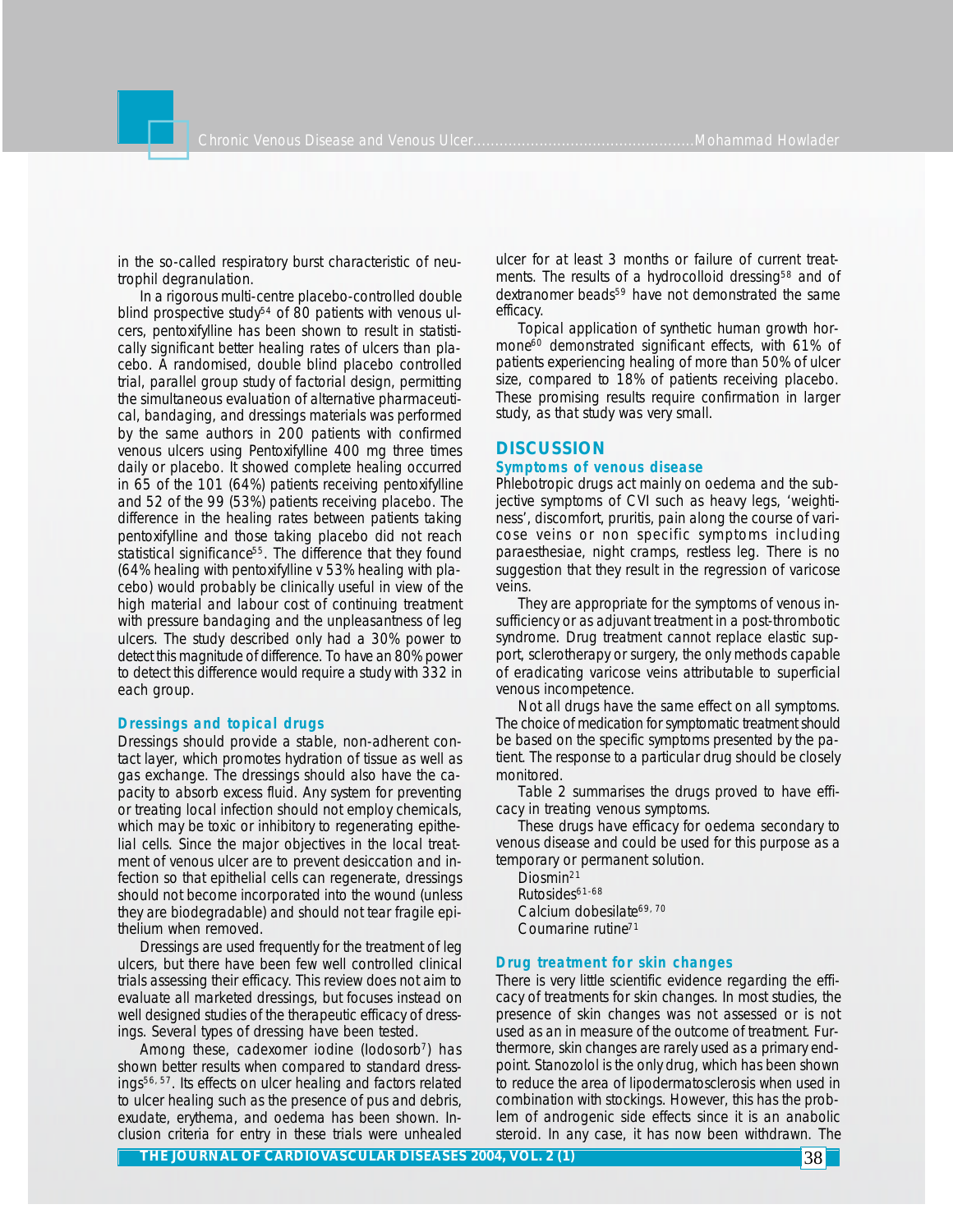in the so-called respiratory burst characteristic of neutrophil degranulation.

In a rigorous multi-centre placebo-controlled double blind prospective study<sup>54</sup> of 80 patients with venous ulcers, pentoxifylline has been shown to result in statistically significant better healing rates of ulcers than placebo. A randomised, double blind placebo controlled trial, parallel group study of factorial design, permitting the simultaneous evaluation of alternative pharmaceutical, bandaging, and dressings materials was performed by the same authors in 200 patients with confirmed venous ulcers using Pentoxifylline 400 mg three times daily or placebo. It showed complete healing occurred in 65 of the 101 (64%) patients receiving pentoxifylline and 52 of the 99 (53%) patients receiving placebo. The difference in the healing rates between patients taking pentoxifylline and those taking placebo did not reach statistical significance<sup>55</sup>. The difference that they found (64% healing with pentoxifylline v 53% healing with placebo) would probably be clinically useful in view of the high material and labour cost of continuing treatment with pressure bandaging and the unpleasantness of leg ulcers. The study described only had a 30% power to detect this magnitude of difference. To have an 80% power to detect this difference would require a study with 332 in each group.

### **Dressings and topical drugs**

Dressings should provide a stable, non-adherent contact layer, which promotes hydration of tissue as well as gas exchange. The dressings should also have the capacity to absorb excess fluid. Any system for preventing or treating local infection should not employ chemicals, which may be toxic or inhibitory to regenerating epithelial cells. Since the major objectives in the local treatment of venous ulcer are to prevent desiccation and infection so that epithelial cells can regenerate, dressings should not become incorporated into the wound (unless they are biodegradable) and should not tear fragile epithelium when removed.

Dressings are used frequently for the treatment of leg ulcers, but there have been few well controlled clinical trials assessing their efficacy. This review does not aim to evaluate all marketed dressings, but focuses instead on well designed studies of the therapeutic efficacy of dressings. Several types of dressing have been tested.

Among these, cadexomer iodine (lodosorb<sup>7</sup>) has shown better results when compared to standard dressings56, 57. Its effects on ulcer healing and factors related to ulcer healing such as the presence of pus and debris, exudate, erythema, and oedema has been shown. Inclusion criteria for entry in these trials were unhealed

ulcer for at least 3 months or failure of current treatments. The results of a hydrocolloid dressing<sup>58</sup> and of dextranomer beads<sup>59</sup> have not demonstrated the same efficacy.

Topical application of synthetic human growth hormone<sup>60</sup> demonstrated significant effects, with 61% of patients experiencing healing of more than 50% of ulcer size, compared to 18% of patients receiving placebo. These promising results require confirmation in larger study, as that study was very small.

### **DISCUSSION**

#### **Symptoms of venous disease**

Phlebotropic drugs act mainly on oedema and the subjective symptoms of CVI such as heavy legs, 'weightiness', discomfort, pruritis, pain along the course of varicose veins or non specific symptoms including paraesthesiae, night cramps, restless leg. There is no suggestion that they result in the regression of varicose veins.

They are appropriate for the symptoms of venous insufficiency or as adjuvant treatment in a post-thrombotic syndrome. Drug treatment cannot replace elastic support, sclerotherapy or surgery, the only methods capable of eradicating varicose veins attributable to superficial venous incompetence.

Not all drugs have the same effect on all symptoms. The choice of medication for symptomatic treatment should be based on the specific symptoms presented by the patient. The response to a particular drug should be closely monitored.

Table 2 summarises the drugs proved to have efficacy in treating venous symptoms.

These drugs have efficacy for oedema secondary to venous disease and could be used for this purpose as a temporary or permanent solution.

Diosmin<sup>21</sup> Rutosides<sup>61-68</sup> Calcium dobesilate<sup>69, 70</sup> Coumarine rutine<sup>71</sup>

#### **Drug treatment for skin changes**

There is very little scientific evidence regarding the efficacy of treatments for skin changes. In most studies, the presence of skin changes was not assessed or is not used as an in measure of the outcome of treatment. Furthermore, skin changes are rarely used as a primary endpoint. Stanozolol is the only drug, which has been shown to reduce the area of lipodermatosclerosis when used in combination with stockings. However, this has the problem of androgenic side effects since it is an anabolic steroid. In any case, it has now been withdrawn. The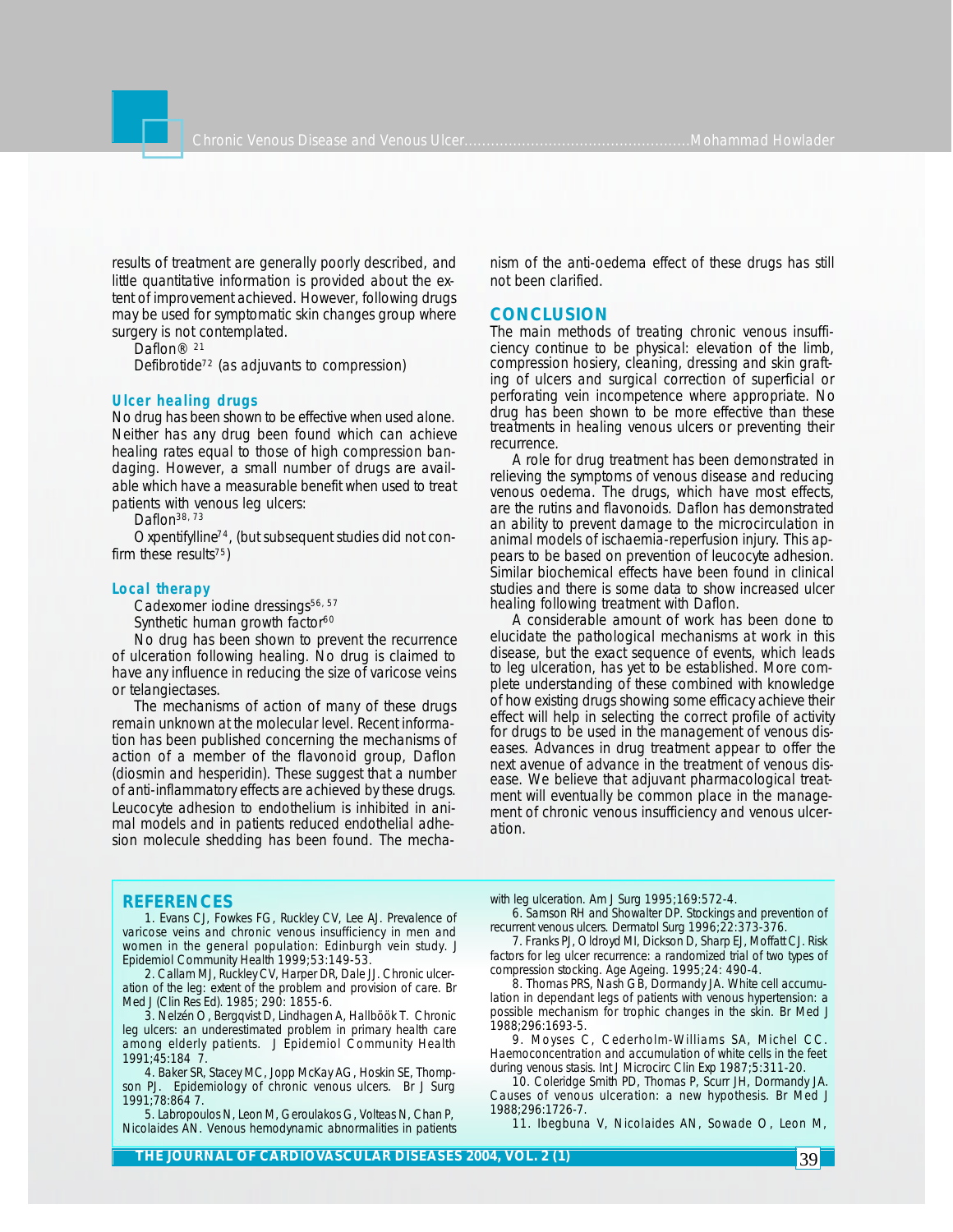

results of treatment are generally poorly described, and little quantitative information is provided about the extent of improvement achieved. However, following drugs may be used for symptomatic skin changes group where surgery is not contemplated.

Daflon<sup>®</sup> 21

Defibrotide72 (as adjuvants to compression)

### **Ulcer healing drugs**

No drug has been shown to be effective when used alone. Neither has any drug been found which can achieve healing rates equal to those of high compression bandaging. However, a small number of drugs are available which have a measurable benefit when used to treat patients with venous leg ulcers:

Daflon<sup>38, 73</sup>

Oxpentifylline74, (but subsequent studies did not confirm these results<sup>75</sup>)

#### **Local therapy**

Cadexomer iodine dressings<sup>56, 57</sup>

Synthetic human growth factor<sup>60</sup>

No drug has been shown to prevent the recurrence of ulceration following healing. No drug is claimed to have any influence in reducing the size of varicose veins or telangiectases.

The mechanisms of action of many of these drugs remain unknown at the molecular level. Recent information has been published concerning the mechanisms of action of a member of the flavonoid group, Daflon (diosmin and hesperidin). These suggest that a number of anti-inflammatory effects are achieved by these drugs. Leucocyte adhesion to endothelium is inhibited in animal models and in patients reduced endothelial adhesion molecule shedding has been found. The mecha-

#### **REFERENCES**

1. Evans CJ, Fowkes FG, Ruckley CV, Lee AJ. Prevalence of varicose veins and chronic venous insufficiency in men and women in the general population: Edinburgh vein study. J Epidemiol Community Health 1999;53:149-53.

2. Callam MJ, Ruckley CV, Harper DR, Dale JJ. Chronic ulceration of the leg: extent of the problem and provision of care. Br Med J (Clin Res Ed). 1985; 290: 1855-6.

3. Nelzén O, Bergqvist D, Lindhagen A, Hallböök T. Chronic leg ulcers: an underestimated problem in primary health care among elderly patients. J Epidemiol Community Health 1991;45:184 7.

4. Baker SR, Stacey MC, Jopp McKay AG, Hoskin SE, Thompson PJ. Epidemiology of chronic venous ulcers. Br J Surg 1991;78:864 7.

5. Labropoulos N, Leon M, Geroulakos G, Volteas N, Chan P, Nicolaides AN. Venous hemodynamic abnormalities in patients nism of the anti-oedema effect of these drugs has still not been clarified.

## **CONCLUSION**

The main methods of treating chronic venous insufficiency continue to be physical: elevation of the limb, compression hosiery, cleaning, dressing and skin grafting of ulcers and surgical correction of superficial or perforating vein incompetence where appropriate. No drug has been shown to be more effective than these treatments in healing venous ulcers or preventing their recurrence.

A role for drug treatment has been demonstrated in relieving the symptoms of venous disease and reducing venous oedema. The drugs, which have most effects, are the rutins and flavonoids. Daflon has demonstrated an ability to prevent damage to the microcirculation in animal models of ischaemia-reperfusion injury. This appears to be based on prevention of leucocyte adhesion. Similar biochemical effects have been found in clinical studies and there is some data to show increased ulcer healing following treatment with Daflon.

A considerable amount of work has been done to elucidate the pathological mechanisms at work in this disease, but the exact sequence of events, which leads to leg ulceration, has yet to be established. More complete understanding of these combined with knowledge of how existing drugs showing some efficacy achieve their effect will help in selecting the correct profile of activity for drugs to be used in the management of venous diseases. Advances in drug treatment appear to offer the next avenue of advance in the treatment of venous disease. We believe that adjuvant pharmacological treatment will eventually be common place in the management of chronic venous insufficiency and venous ulceration.

with leg ulceration. Am J Surg 1995;169:572-4.

6. Samson RH and Showalter DP. Stockings and prevention of recurrent venous ulcers. Dermatol Surg 1996;22:373-376.

7. Franks PJ, Oldroyd MI, Dickson D, Sharp EJ, Moffatt CJ. Risk factors for leg ulcer recurrence: a randomized trial of two types of compression stocking. Age Ageing. 1995;24: 490-4.

8. Thomas PRS, Nash GB, Dormandy JA. White cell accumulation in dependant legs of patients with venous hypertension: a possible mechanism for trophic changes in the skin. Br Med J 1988;296:1693-5.

9. Moyses C, Cederholm-Williams SA, Michel CC. Haemoconcentration and accumulation of white cells in the feet during venous stasis. Int J Microcirc Clin Exp 1987;5:311-20.

10. Coleridge Smith PD, Thomas P, Scurr JH, Dormandy JA. Causes of venous ulceration: a new hypothesis. Br Med J 1988;296:1726-7.

11. Ibegbuna V, Nicolaides AN, Sowade O, Leon M,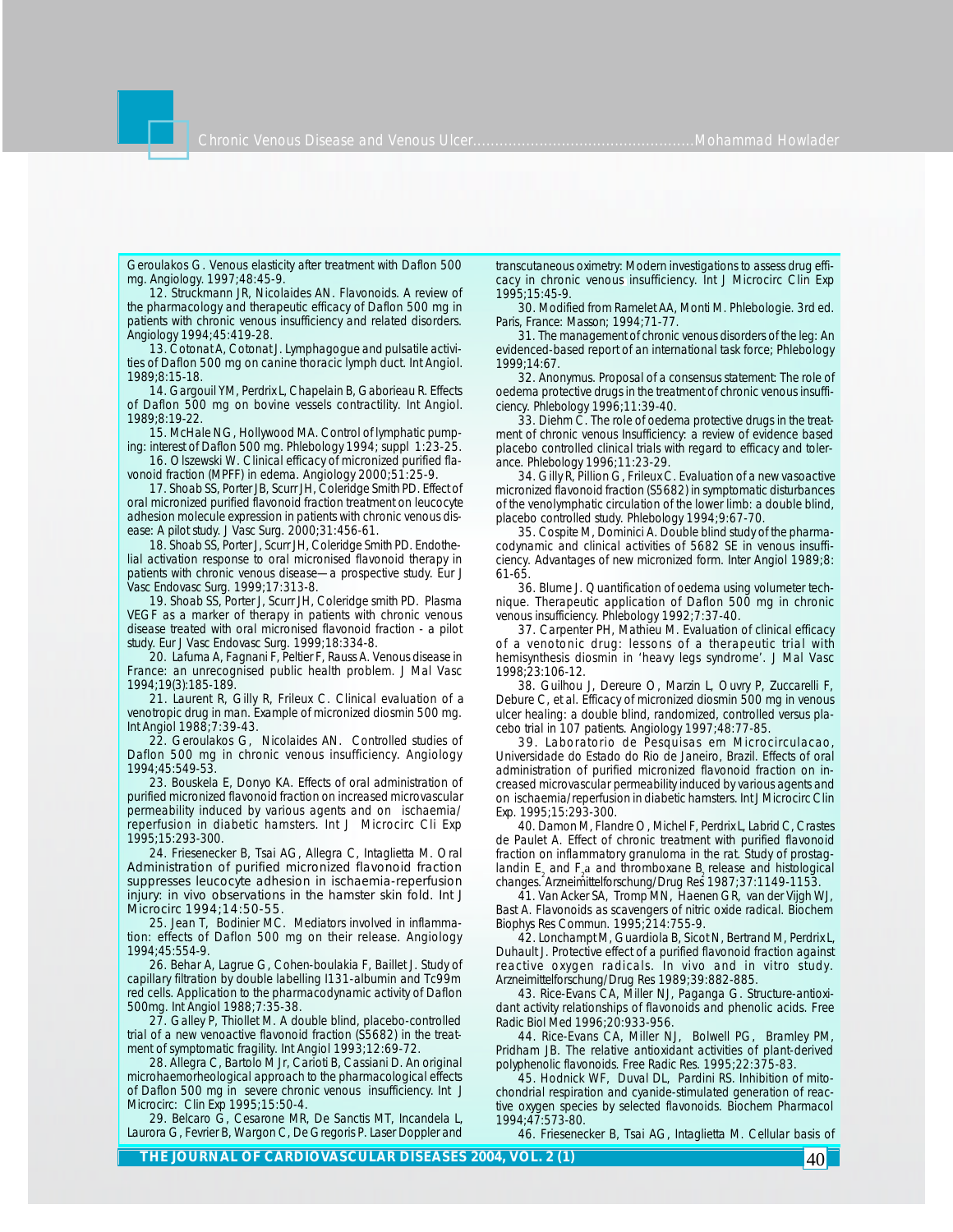

Geroulakos G. Venous elasticity after treatment with Daflon 500 mg. Angiology. 1997;48:45-9.

12. Struckmann JR, Nicolaides AN. Flavonoids. A review of the pharmacology and therapeutic efficacy of Daflon 500 mg in patients with chronic venous insufficiency and related disorders. Angiology 1994;45:419-28.

13. Cotonat A, Cotonat J. Lymphagogue and pulsatile activities of Daflon 500 mg on canine thoracic lymph duct. Int Angiol. 1989;8:15-18.

14. Gargouil YM, Perdrix L, Chapelain B, Gaborieau R. Effects of Daflon 500 mg on bovine vessels contractility. Int Angiol. 1989;8:19-22.

15. McHale NG, Hollywood MA. Control of lymphatic pumping: interest of Daflon 500 mg. Phlebology 1994; suppl 1:23-25.

16. Olszewski W. Clinical efficacy of micronized purified flavonoid fraction (MPFF) in edema. Angiology 2000;51:25-9.

17. Shoab SS, Porter JB, Scurr JH, Coleridge Smith PD. Effect of oral micronized purified flavonoid fraction treatment on leucocyte adhesion molecule expression in patients with chronic venous disease: A pilot study. J Vasc Surg. 2000;31:456-61.

18. Shoab SS, Porter J, Scurr JH, Coleridge Smith PD. Endothelial activation response to oral micronised flavonoid therapy in patients with chronic venous disease—a prospective study. Eur J Vasc Endovasc Surg. 1999;17:313-8.

19. Shoab SS, Porter J, Scurr JH, Coleridge smith PD. Plasma VEGF as a marker of therapy in patients with chronic venous disease treated with oral micronised flavonoid fraction - a pilot study. Eur J Vasc Endovasc Surg. 1999;18:334-8.

20. Lafuma A, Fagnani F, Peltier F, Rauss A. Venous disease in France: an unrecognised public health problem. J Mal Vasc 1994;19(3):185-189.

21. Laurent R, Gilly R, Frileux C. Clinical evaluation of a venotropic drug in man. Example of micronized diosmin 500 mg. Int Angiol 1988;7:39-43.

22. Geroulakos G, Nicolaides AN. Controlled studies of Daflon 500 mg in chronic venous insufficiency. Angiology 1994;45:549-53.

23. Bouskela E, Donyo KA. Effects of oral administration of purified micronized flavonoid fraction on increased microvascular permeability induced by various agents and on ischaemia/ reperfusion in diabetic hamsters. Int J Microcirc Cli Exp 1995;15:293-300.

24. Friesenecker B, Tsai AG, Allegra C, Intaglietta M. Oral Administration of purified micronized flavonoid fraction suppresses leucocyte adhesion in ischaemia-reperfusion injury: in vivo observations in the hamster skin fold. Int J Microcirc 1994;14:50-55.

25. Jean T, Bodinier MC. Mediators involved in inflammation: effects of Daflon 500 mg on their release. Angiology 1994;45:554-9.

26. Behar A, Lagrue G, Cohen-boulakia F, Baillet J. Study of capillary filtration by double labelling I131-albumin and Tc99m red cells. Application to the pharmacodynamic activity of Daflon 500mg. Int Angiol 1988;7:35-38.

27. Galley P, Thiollet M. A double blind, placebo-controlled trial of a new venoactive flavonoid fraction (S5682) in the treatment of symptomatic fragility. Int Angiol 1993;12:69-72.

28. Allegra C, Bartolo M Jr, Carioti B, Cassiani D. An original microhaemorheological approach to the pharmacological effects of Daflon 500 mg in severe chronic venous insufficiency. Int J Microcirc: Clin Exp 1995;15:50-4.

29. Belcaro G, Cesarone MR, De Sanctis MT, Incandela L, Laurora G, Fevrier B, Wargon C, De Gregoris P. Laser Doppler and transcutaneous oximetry: Modern investigations to assess drug efficacy in chronic venous insufficiency. Int J Microcirc Clin Exp 1995;15:45-9.

30. Modified from Ramelet AA, Monti M. Phlebologie. 3rd ed. Paris, France: Masson; 1994;71-77.

31. The management of chronic venous disorders of the leg: An evidenced-based report of an international task force; Phlebology 1999;14:67.

32. Anonymus. Proposal of a consensus statement: The role of oedema protective drugs in the treatment of chronic venous insufficiency. Phlebology 1996;11:39-40.

33. Diehm C. The role of oedema protective drugs in the treatment of chronic venous Insufficiency: a review of evidence based placebo controlled clinical trials with regard to efficacy and tolerance. Phlebology 1996;11:23-29.

34. Gilly R, Pillion G, Frileux C. Evaluation of a new vasoactive micronized flavonoid fraction (S5682) in symptomatic disturbances of the venolymphatic circulation of the lower limb: a double blind, placebo controlled study. Phlebology 1994;9:67-70.

35. Cospite M, Dominici A. Double blind study of the pharmacodynamic and clinical activities of 5682 SE in venous insufficiency. Advantages of new micronized form. Inter Angiol 1989;8: 61-65.

36. Blume J. Quantification of oedema using volumeter technique. Therapeutic application of Daflon 500 mg in chronic venous insufficiency. Phlebology 1992;7:37-40.

37. Carpenter PH, Mathieu M. Evaluation of clinical efficacy of a venotonic drug: lessons of a therapeutic trial with hemisynthesis diosmin in 'heavy legs syndrome'. J Mal Vasc 1998;23:106-12.

38. Guilhou J, Dereure O, Marzin L, Ouvry P, Zuccarelli F, Debure C, et al. Efficacy of micronized diosmin 500 mg in venous ulcer healing: a double blind, randomized, controlled versus placebo trial in 107 patients. Angiology 1997;48:77-85.

39. Laboratorio de Pesquisas em Microcirculacao, Universidade do Estado do Rio de Janeiro, Brazil. Effects of oral administration of purified micronized flavonoid fraction on increased microvascular permeability induced by various agents and on ischaemia/reperfusion in diabetic hamsters. Int J Microcirc Clin Exp. 1995;15:293-300.

40. Damon M, Flandre O, Michel F, Perdrix L, Labrid C, Crastes de Paulet A. Effect of chronic treatment with purified flavonoid fraction on inflammatory granuloma in the rat. Study of prostaglandin  $E_2$  and  $F_2$  and thromboxane  $B_2$  release and histological changes. Arzneimittelforschung/Drug Res 1987;37:1149-1153

41. Van Acker SA, Tromp MN, Haenen GR, van der Vijgh WJ, Bast A. Flavonoids as scavengers of nitric oxide radical. Biochem Biophys Res Commun. 1995; 214: 755-9.

42. Lonchampt M, Guardiola B, Sicot N, Bertrand M, Perdrix L, Duhault J. Protective effect of a purified flavonoid fraction against reactive oxygen radicals. In vivo and in vitro study. Arzneimittelforschung/Drug Res 1989;39:882-885.

43. Rice-Evans CA, Miller NJ, Paganga G. Structure-antioxidant activity relationships of flavonoids and phenolic acids. Free Radic Biol Med 1996;20:933-956.

44. Rice-Evans CA, Miller NJ, Bolwell PG, Bramley PM, Pridham JB. The relative antioxidant activities of plant-derived polyphenolic flavonoids. Free Radic Res. 1995;22:375-83.

45. Hodnick WF, Duval DL, Pardini RS. Inhibition of mitochondrial respiration and cyanide-stimulated generation of reactive oxygen species by selected flavonoids. Biochem Pharmacol 1994;47:573-80.

46. Friesenecker B, Tsai AG, Intaglietta M. Cellular basis of